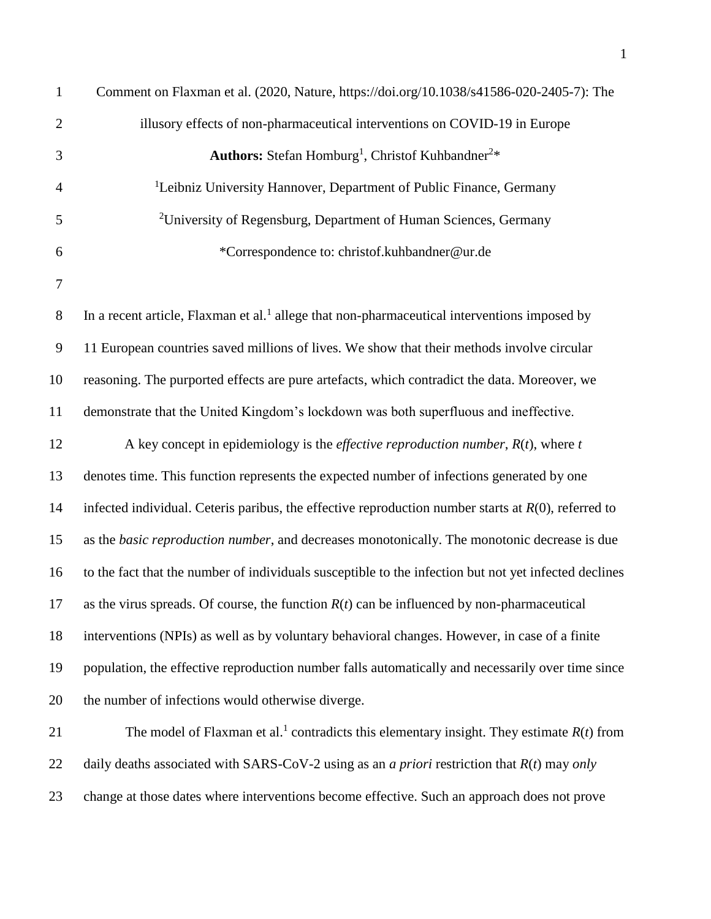| $\mathbf{1}$   | Comment on Flaxman et al. (2020, Nature, https://doi.org/10.1038/s41586-020-2405-7): The                 |
|----------------|----------------------------------------------------------------------------------------------------------|
| $\overline{2}$ | illusory effects of non-pharmaceutical interventions on COVID-19 in Europe                               |
| 3              | Authors: Stefan Homburg <sup>1</sup> , Christof Kuhbandner <sup>2*</sup>                                 |
| $\overline{4}$ | <sup>1</sup> Leibniz University Hannover, Department of Public Finance, Germany                          |
| 5              | <sup>2</sup> University of Regensburg, Department of Human Sciences, Germany                             |
| 6              | *Correspondence to: christof.kuhbandner@ur.de                                                            |
| $\tau$         |                                                                                                          |
| 8              | In a recent article, Flaxman et al. <sup>1</sup> allege that non-pharmaceutical interventions imposed by |
| $\overline{9}$ | 11 European countries saved millions of lives. We show that their methods involve circular               |
| 10             | reasoning. The purported effects are pure artefacts, which contradict the data. Moreover, we             |
| 11             | demonstrate that the United Kingdom's lockdown was both superfluous and ineffective.                     |
| 12             | A key concept in epidemiology is the <i>effective reproduction number</i> , $R(t)$ , where t             |
| 13             | denotes time. This function represents the expected number of infections generated by one                |
| 14             | infected individual. Ceteris paribus, the effective reproduction number starts at $R(0)$ , referred to   |
| 15             | as the basic reproduction number, and decreases monotonically. The monotonic decrease is due             |
| 16             | to the fact that the number of individuals susceptible to the infection but not yet infected declines    |
| 17             | as the virus spreads. Of course, the function $R(t)$ can be influenced by non-pharmaceutical             |
| 18             | interventions (NPIs) as well as by voluntary behavioral changes. However, in case of a finite            |
| 19             | population, the effective reproduction number falls automatically and necessarily over time since        |
| 20             | the number of infections would otherwise diverge.                                                        |
| 21             | The model of Flaxman et al. <sup>1</sup> contradicts this elementary insight. They estimate $R(t)$ from  |
| 22             | daily deaths associated with SARS-CoV-2 using as an <i>a priori</i> restriction that $R(t)$ may only     |
| 23             | change at those dates where interventions become effective. Such an approach does not prove              |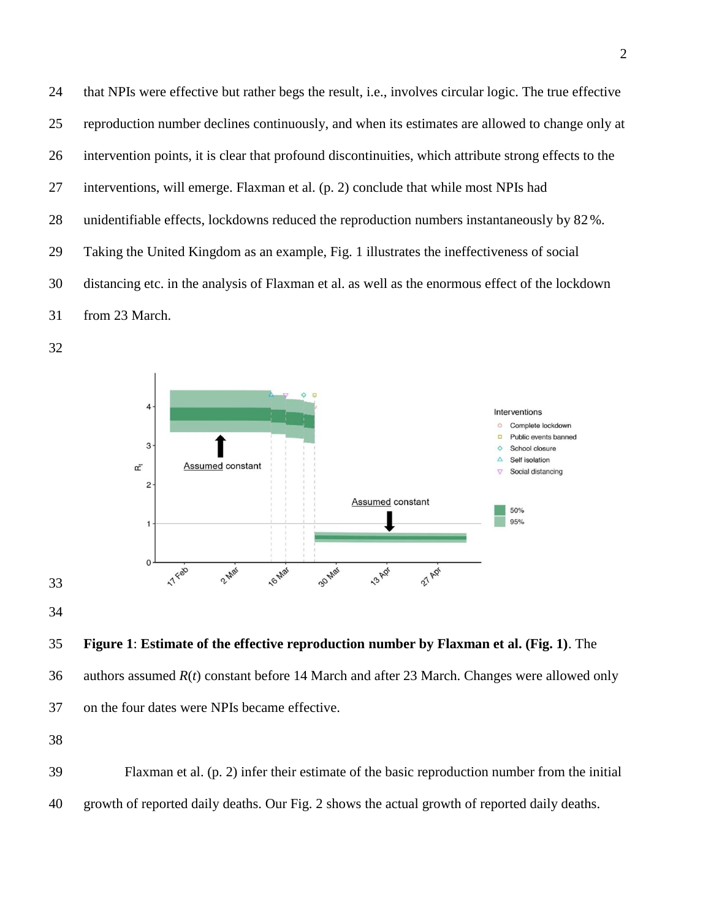that NPIs were effective but rather begs the result, i.e., involves circular logic. The true effective reproduction number declines continuously, and when its estimates are allowed to change only at intervention points, it is clear that profound discontinuities, which attribute strong effects to the interventions, will emerge. Flaxman et al. (p. 2) conclude that while most NPIs had unidentifiable effects, lockdowns reduced the reproduction numbers instantaneously by 82%. Taking the United Kingdom as an example, Fig. 1 illustrates the ineffectiveness of social distancing etc. in the analysis of Flaxman et al. as well as the enormous effect of the lockdown from 23 March.





 authors assumed *R*(*t*) constant before 14 March and after 23 March. Changes were allowed only on the four dates were NPIs became effective.

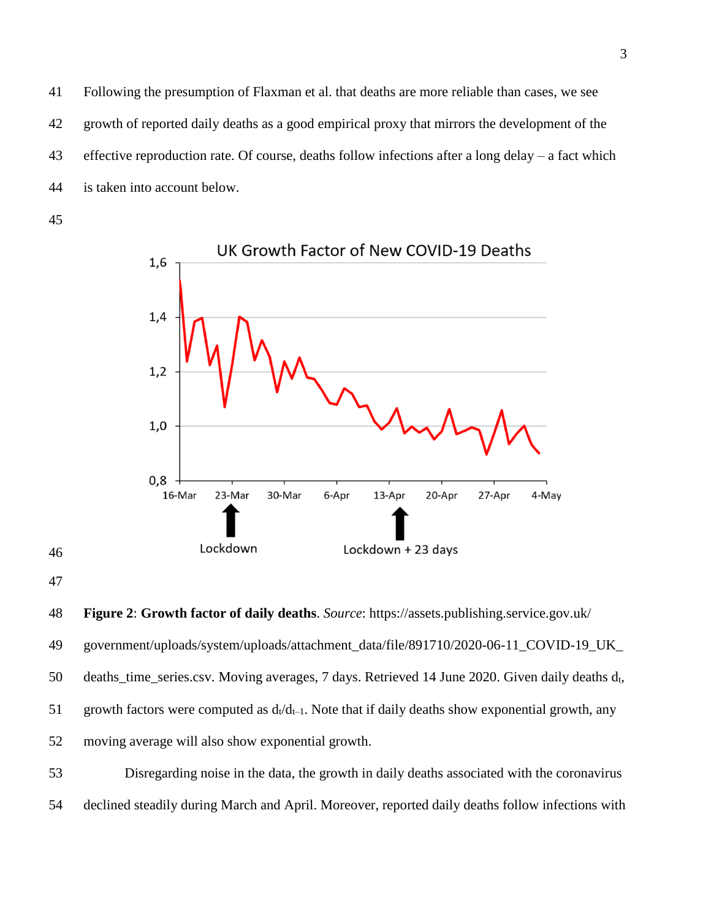Following the presumption of Flaxman et al. that deaths are more reliable than cases, we see growth of reported daily deaths as a good empirical proxy that mirrors the development of the effective reproduction rate. Of course, deaths follow infections after a long delay – a fact which is taken into account below.



 



declined steadily during March and April. Moreover, reported daily deaths follow infections with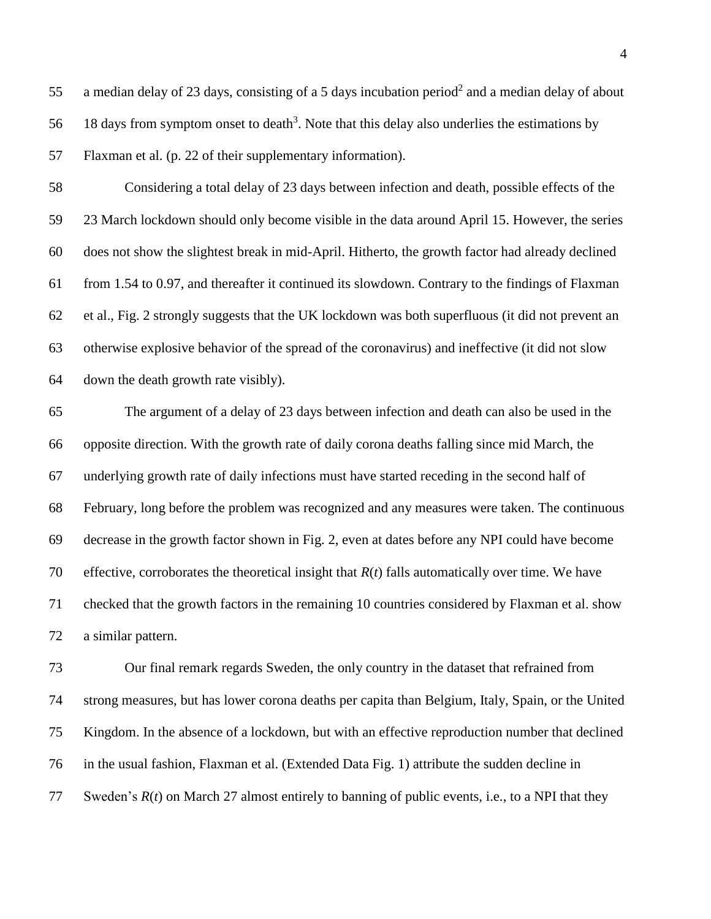55 a median delay of 23 days, consisting of a 5 days incubation period<sup>2</sup> and a median delay of about 56 18 days from symptom onset to death<sup>3</sup>. Note that this delay also underlies the estimations by Flaxman et al. (p. 22 of their supplementary information).

 Considering a total delay of 23 days between infection and death, possible effects of the 23 March lockdown should only become visible in the data around April 15. However, the series does not show the slightest break in mid-April. Hitherto, the growth factor had already declined from 1.54 to 0.97, and thereafter it continued its slowdown. Contrary to the findings of Flaxman et al., Fig. 2 strongly suggests that the UK lockdown was both superfluous (it did not prevent an otherwise explosive behavior of the spread of the coronavirus) and ineffective (it did not slow down the death growth rate visibly).

 The argument of a delay of 23 days between infection and death can also be used in the opposite direction. With the growth rate of daily corona deaths falling since mid March, the underlying growth rate of daily infections must have started receding in the second half of February, long before the problem was recognized and any measures were taken. The continuous decrease in the growth factor shown in Fig. 2, even at dates before any NPI could have become effective, corroborates the theoretical insight that *R*(*t*) falls automatically over time. We have checked that the growth factors in the remaining 10 countries considered by Flaxman et al. show a similar pattern.

 Our final remark regards Sweden, the only country in the dataset that refrained from strong measures, but has lower corona deaths per capita than Belgium, Italy, Spain, or the United Kingdom. In the absence of a lockdown, but with an effective reproduction number that declined in the usual fashion, Flaxman et al. (Extended Data Fig. 1) attribute the sudden decline in Sweden's *R*(*t*) on March 27 almost entirely to banning of public events, i.e., to a NPI that they